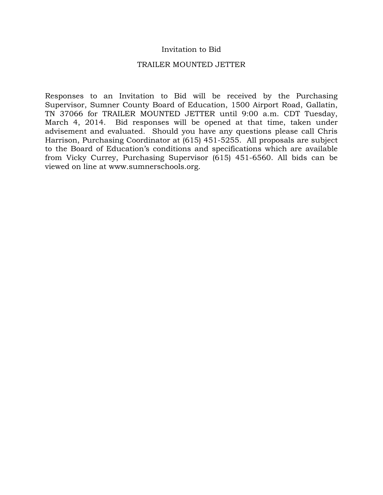### Invitation to Bid

#### TRAILER MOUNTED JETTER

Responses to an Invitation to Bid will be received by the Purchasing Supervisor, Sumner County Board of Education, 1500 Airport Road, Gallatin, TN 37066 for TRAILER MOUNTED JETTER until 9:00 a.m. CDT Tuesday, March 4, 2014. Bid responses will be opened at that time, taken under advisement and evaluated. Should you have any questions please call Chris Harrison, Purchasing Coordinator at (615) 451-5255. All proposals are subject to the Board of Education's conditions and specifications which are available from Vicky Currey, Purchasing Supervisor (615) 451-6560. All bids can be viewed on line at www.sumnerschools.org.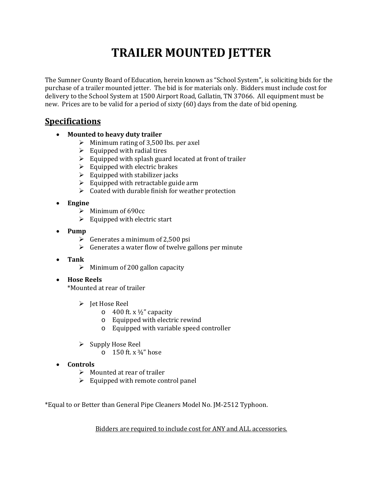# **TRAILER MOUNTED JETTER**

The Sumner County Board of Education, herein known as "School System", is soliciting bids for the purchase of a trailer mounted jetter. The bid is for materials only. Bidders must include cost for delivery to the School System at 1500 Airport Road, Gallatin, TN 37066. All equipment must be new. Prices are to be valid for a period of sixty (60) days from the date of bid opening.

### **Specifications**

- **Mounted to heavy duty trailer**
	- $\triangleright$  Minimum rating of 3,500 lbs. per axel
	- $\triangleright$  Equipped with radial tires
	- $\triangleright$  Equipped with splash guard located at front of trailer
	- $\triangleright$  Equipped with electric brakes
	- $\triangleright$  Equipped with stabilizer jacks
	- $\triangleright$  Equipped with retractable guide arm
	- $\triangleright$  Coated with durable finish for weather protection
- **Engine**
	- $\triangleright$  Minimum of 690cc
	- $\triangleright$  Equipped with electric start
- **Pump**
	- $\triangleright$  Generates a minimum of 2,500 psi
	- $\triangleright$  Generates a water flow of twelve gallons per minute
- **Tank**
	- $\triangleright$  Minimum of 200 gallon capacity

### • **Hose Reels**

\*Mounted at rear of trailer

- $\triangleright$  Jet Hose Reel
	- $\circ$  400 ft. x ½" capacity
	- o Equipped with electric rewind
	- o Equipped with variable speed controller
- $\triangleright$  Supply Hose Reel
	- $\circ$  150 ft. x  $\frac{3}{4}$ " hose
- **Controls**
	- $\triangleright$  Mounted at rear of trailer
	- $\triangleright$  Equipped with remote control panel

\*Equal to or Better than General Pipe Cleaners Model No. JM-2512 Typhoon.

Bidders are required to include cost for ANY and ALL accessories.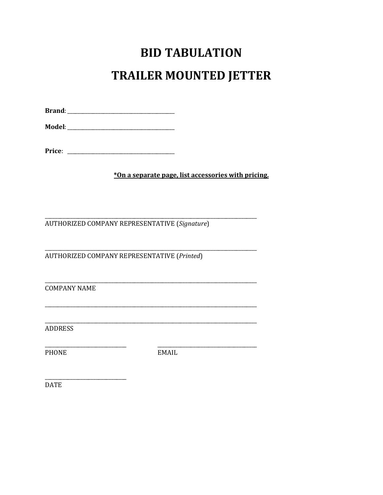## **BID TABULATION**

## **TRAILER MOUNTED JETTER**

\*On a separate page, list accessories with pricing.

AUTHORIZED COMPANY REPRESENTATIVE (Signature)

AUTHORIZED COMPANY REPRESENTATIVE (Printed)

**COMPANY NAME** 

**ADDRESS** 

PHONE

EMAIL

**DATE**